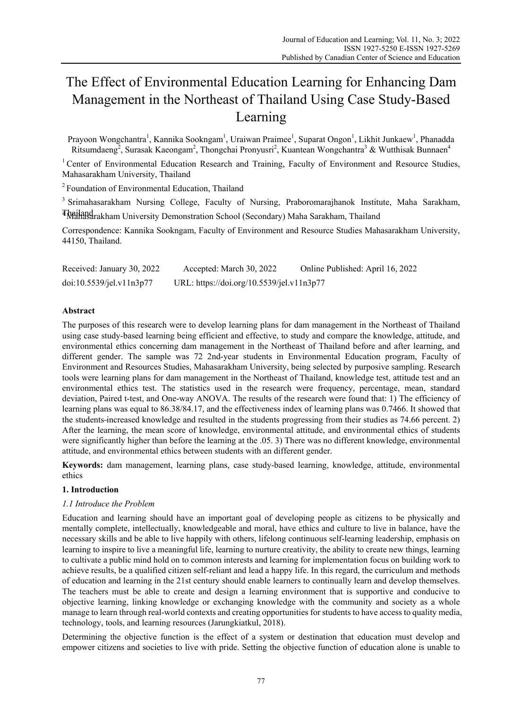# The Effect of Environmental Education Learning for Enhancing Dam Management in the Northeast of Thailand Using Case Study-Based Learning

Prayoon Wongchantra<sup>1</sup>, Kannika Sookngam<sup>1</sup>, Uraiwan Praimee<sup>1</sup>, Suparat Ongon<sup>1</sup>, Likhit Junkaew<sup>1</sup>, Phanadda Ritsumdaeng<sup>2</sup>, Surasak Kaeongam<sup>2</sup>, Thongchai Pronyusri<sup>2</sup>, Kuantean Wongchantra<sup>3</sup> & Wutthisak Bunnaen<sup>4</sup>

<sup>1</sup> Center of Environmental Education Research and Training, Faculty of Environment and Resource Studies, Mahasarakham University, Thailand

<sup>2</sup> Foundation of Environmental Education, Thailand

<sup>3</sup> Srimahasarakham Nursing College, Faculty of Nursing, Praboromarajhanok Institute, Maha Sarakham, 4 Thailand Mahasarakham University Demonstration School (Secondary) Maha Sarakham, Thailand

Correspondence: Kannika Sookngam, Faculty of Environment and Resource Studies Mahasarakham University, 44150, Thailand.

| Received: January 30, 2022 | Accepted: March 30, 2022                  | Online Published: April 16, 2022 |
|----------------------------|-------------------------------------------|----------------------------------|
| doi:10.5539/jel.v11n3p77   | URL: https://doi.org/10.5539/jel.v11n3p77 |                                  |

# **Abstract**

The purposes of this research were to develop learning plans for dam management in the Northeast of Thailand using case study-based learning being efficient and effective, to study and compare the knowledge, attitude, and environmental ethics concerning dam management in the Northeast of Thailand before and after learning, and different gender. The sample was 72 2nd-year students in Environmental Education program, Faculty of Environment and Resources Studies, Mahasarakham University, being selected by purposive sampling. Research tools were learning plans for dam management in the Northeast of Thailand, knowledge test, attitude test and an environmental ethics test. The statistics used in the research were frequency, percentage, mean, standard deviation, Paired t-test, and One-way ANOVA. The results of the research were found that: 1) The efficiency of learning plans was equal to 86.38/84.17, and the effectiveness index of learning plans was 0.7466. It showed that the students increased knowledge and resulted in the students progressing from their studies as 74.66 percent. 2) After the learning, the mean score of knowledge, environmental attitude, and environmental ethics of students were significantly higher than before the learning at the .05. 3) There was no different knowledge, environmental attitude, and environmental ethics between students with an different gender.

**Keywords:** dam management, learning plans, case study-based learning, knowledge, attitude, environmental ethics

## **1. Introduction**

# *1.1 Introduce the Problem*

Education and learning should have an important goal of developing people as citizens to be physically and mentally complete, intellectually, knowledgeable and moral, have ethics and culture to live in balance, have the necessary skills and be able to live happily with others, lifelong continuous self-learning leadership, emphasis on learning to inspire to live a meaningful life, learning to nurture creativity, the ability to create new things, learning to cultivate a public mind hold on to common interests and learning for implementation focus on building work to achieve results, be a qualified citizen self-reliant and lead a happy life. In this regard, the curriculum and methods of education and learning in the 21st century should enable learners to continually learn and develop themselves. The teachers must be able to create and design a learning environment that is supportive and conducive to objective learning, linking knowledge or exchanging knowledge with the community and society as a whole manage to learn through real-world contexts and creating opportunities for students to have access to quality media, technology, tools, and learning resources (Jarungkiatkul, 2018).

Determining the objective function is the effect of a system or destination that education must develop and empower citizens and societies to live with pride. Setting the objective function of education alone is unable to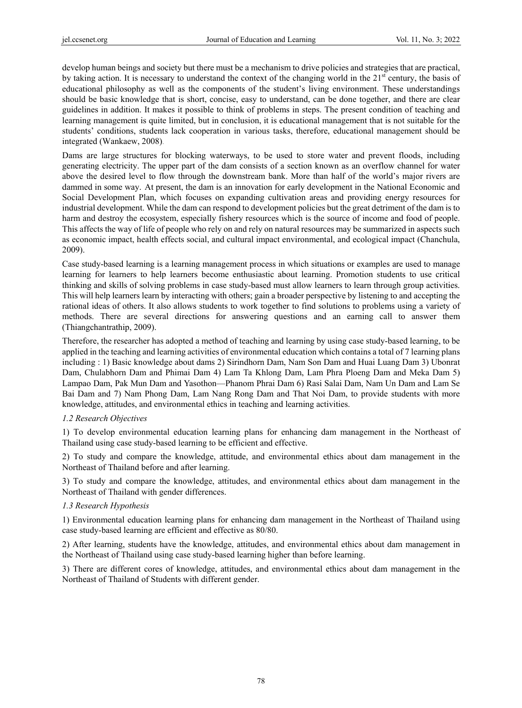develop human beings and society but there must be a mechanism to drive policies and strategies that are practical, by taking action. It is necessary to understand the context of the changing world in the  $21<sup>st</sup>$  century, the basis of educational philosophy as well as the components of the student's living environment. These understandings should be basic knowledge that is short, concise, easy to understand, can be done together, and there are clear guidelines in addition. It makes it possible to think of problems in steps. The present condition of teaching and learning management is quite limited, but in conclusion, it is educational management that is not suitable for the students' conditions, students lack cooperation in various tasks, therefore, educational management should be integrated (Wankaew, 2008)*.* 

Dams are large structures for blocking waterways, to be used to store water and prevent floods, including generating electricity. The upper part of the dam consists of a section known as an overflow channel for water above the desired level to flow through the downstream bank. More than half of the world's major rivers are dammed in some way. At present, the dam is an innovation for early development in the National Economic and Social Development Plan, which focuses on expanding cultivation areas and providing energy resources for industrial development. While the dam can respond to development policies but the great detriment of the dam is to harm and destroy the ecosystem, especially fishery resources which is the source of income and food of people. This affects the way of life of people who rely on and rely on natural resources may be summarized in aspects such as economic impact, health effects social, and cultural impact environmental, and ecological impact (Chanchula, 2009).

Case study-based learning is a learning management process in which situations or examples are used to manage learning for learners to help learners become enthusiastic about learning. Promotion students to use critical thinking and skills of solving problems in case study-based must allow learners to learn through group activities. This will help learners learn by interacting with others; gain a broader perspective by listening to and accepting the rational ideas of others. It also allows students to work together to find solutions to problems using a variety of methods. There are several directions for answering questions and an earning call to answer them (Thiangchantrathip, 2009).

Therefore, the researcher has adopted a method of teaching and learning by using case study-based learning, to be applied in the teaching and learning activities of environmental education which contains a total of 7 learning plans including : 1) Basic knowledge about dams 2) Sirindhorn Dam, Nam Son Dam and Huai Luang Dam 3) Ubonrat Dam, Chulabhorn Dam and Phimai Dam 4) Lam Ta Khlong Dam, Lam Phra Ploeng Dam and Meka Dam 5) Lampao Dam, Pak Mun Dam and Yasothon—Phanom Phrai Dam 6) Rasi Salai Dam, Nam Un Dam and Lam Se Bai Dam and 7) Nam Phong Dam, Lam Nang Rong Dam and That Noi Dam, to provide students with more knowledge, attitudes, and environmental ethics in teaching and learning activities.

## *1.2 Research Objectives*

1) To develop environmental education learning plans for enhancing dam management in the Northeast of Thailand using case study-based learning to be efficient and effective.

2) To study and compare the knowledge, attitude, and environmental ethics about dam management in the Northeast of Thailand before and after learning.

3) To study and compare the knowledge, attitudes, and environmental ethics about dam management in the Northeast of Thailand with gender differences.

## *1.3 Research Hypothesis*

1) Environmental education learning plans for enhancing dam management in the Northeast of Thailand using case study-based learning are efficient and effective as 80/80.

2) After learning, students have the knowledge, attitudes, and environmental ethics about dam management in the Northeast of Thailand using case study-based learning higher than before learning.

3) There are different cores of knowledge, attitudes, and environmental ethics about dam management in the Northeast of Thailand of Students with different gender.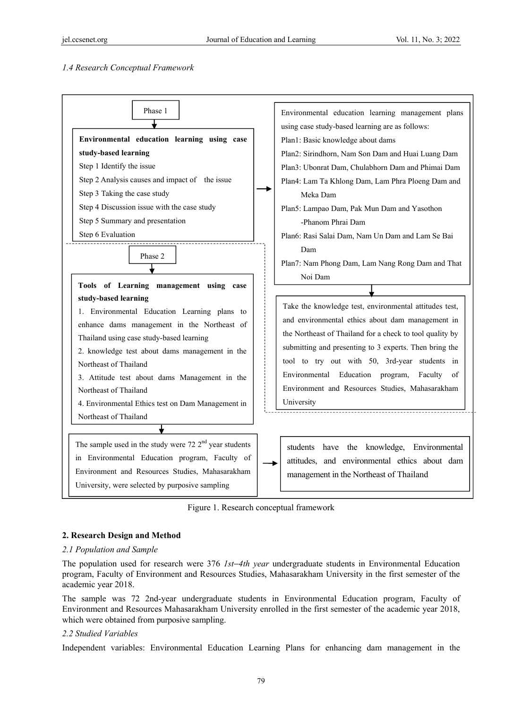## *1.4 Research Conceptual Framework*



Figure 1. Research conceptual framework

## **2. Research Design and Method**

#### *2.1 Population and Sample*

The population used for research were 376 *1st*−*4th year* undergraduate students in Environmental Education program, Faculty of Environment and Resources Studies, Mahasarakham University in the first semester of the academic year 2018.

The sample was 72 2nd-year undergraduate students in Environmental Education program, Faculty of Environment and Resources Mahasarakham University enrolled in the first semester of the academic year 2018, which were obtained from purposive sampling.

#### *2.2 Studied Variables*

Independent variables: Environmental Education Learning Plans for enhancing dam management in the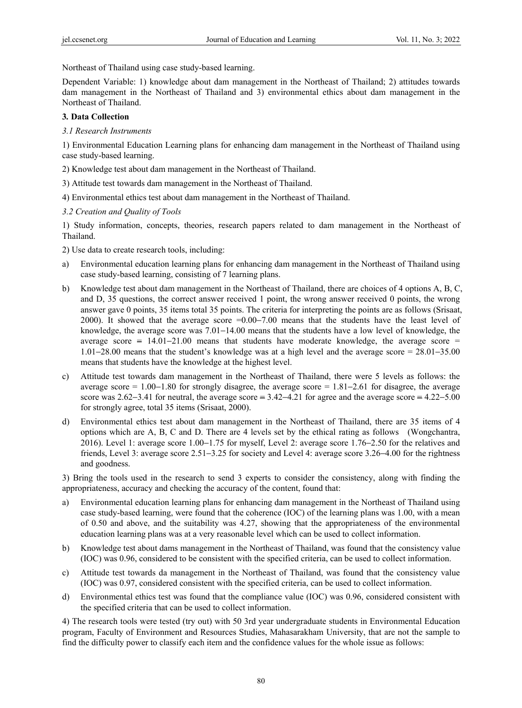Northeast of Thailand using case study-based learning.

Dependent Variable: 1) knowledge about dam management in the Northeast of Thailand; 2) attitudes towards dam management in the Northeast of Thailand and 3) environmental ethics about dam management in the Northeast of Thailand.

#### **3***.* **Data Collection**

*3.1 Research Instruments* 

1) Environmental Education Learning plans for enhancing dam management in the Northeast of Thailand using case study-based learning.

- 2) Knowledge test about dam management in the Northeast of Thailand.
- 3) Attitude test towards dam management in the Northeast of Thailand.
- 4) Environmental ethics test about dam management in the Northeast of Thailand.
- *3.2 Creation and Quality of Tools*

1) Study information, concepts, theories, research papers related to dam management in the Northeast of Thailand.

- 2) Use data to create research tools, including:
- a) Environmental education learning plans for enhancing dam management in the Northeast of Thailand using case study-based learning, consisting of 7 learning plans.
- b) Knowledge test about dam management in the Northeast of Thailand, there are choices of 4 options A, B, C, and D, 35 questions, the correct answer received 1 point, the wrong answer received 0 points, the wrong answer gave 0 points, 35 items total 35 points. The criteria for interpreting the points are as follows (Srisaat, 2000). It showed that the average score =0.00–7.00 means that the students have the least level of knowledge, the average score was 7.01−14.00 means that the students have a low level of knowledge, the average score = 14.01−21.00 means that students have moderate knowledge, the average score = 1.01−28.00 means that the student's knowledge was at a high level and the average score = 28.01−35.00 means that students have the knowledge at the highest level.
- c) Attitude test towards dam management in the Northeast of Thailand, there were 5 levels as follows: the average score = 1.00−1.80 for strongly disagree, the average score = 1.81−2.61 for disagree, the average score was  $2.62-3.41$  for neutral, the average score =  $3.42-4.21$  for agree and the average score =  $4.22-5.00$ for strongly agree, total 35 items (Srisaat, 2000).
- d) Environmental ethics test about dam management in the Northeast of Thailand, there are 35 items of 4 options which are A, B, C and D. There are 4 levels set by the ethical rating as follows (Wongchantra, 2016). Level 1: average score 1.00−1.75 for myself, Level 2: average score 1.76−2.50 for the relatives and friends, Level 3: average score 2.51−3.25 for society and Level 4: average score 3.26−4.00 for the rightness and goodness.

3) Bring the tools used in the research to send 3 experts to consider the consistency, along with finding the appropriateness, accuracy and checking the accuracy of the content, found that:

- a) Environmental education learning plans for enhancing dam management in the Northeast of Thailand using case study-based learning, were found that the coherence (IOC) of the learning plans was 1.00, with a mean of 0.50 and above, and the suitability was 4.27, showing that the appropriateness of the environmental education learning plans was at a very reasonable level which can be used to collect information.
- b) Knowledge test about dams management in the Northeast of Thailand, was found that the consistency value (IOC) was 0.96, considered to be consistent with the specified criteria, can be used to collect information.
- c) Attitude test towards da management in the Northeast of Thailand, was found that the consistency value (IOC) was 0.97, considered consistent with the specified criteria, can be used to collect information.
- d) Environmental ethics test was found that the compliance value (IOC) was 0.96, considered consistent with the specified criteria that can be used to collect information.

4) The research tools were tested (try out) with 50 3rd year undergraduate students in Environmental Education program, Faculty of Environment and Resources Studies, Mahasarakham University, that are not the sample to find the difficulty power to classify each item and the confidence values for the whole issue as follows: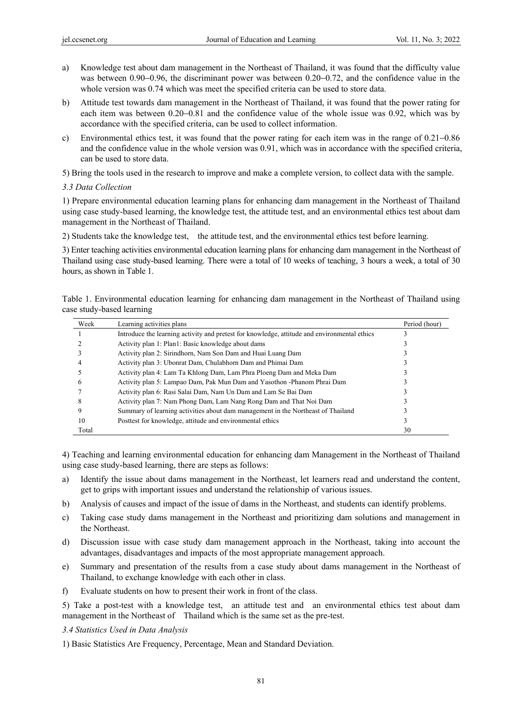- a) Knowledge test about dam management in the Northeast of Thailand, it was found that the difficulty value was between 0.90−0.96, the discriminant power was between 0.20−0.72, and the confidence value in the whole version was 0.74 which was meet the specified criteria can be used to store data.
- b) Attitude test towards dam management in the Northeast of Thailand, it was found that the power rating for each item was between 0.20−0.81 and the confidence value of the whole issue was 0.92, which was by accordance with the specified criteria, can be used to collect information.
- c) Environmental ethics test, it was found that the power rating for each item was in the range of 0.21−0.86 and the confidence value in the whole version was 0.91, which was in accordance with the specified criteria, can be used to store data.

5) Bring the tools used in the research to improve and make a complete version, to collect data with the sample.

#### *3.3 Data Collection*

1) Prepare environmental education learning plans for enhancing dam management in the Northeast of Thailand using case study-based learning, the knowledge test, the attitude test, and an environmental ethics test about dam management in the Northeast of Thailand.

2) Students take the knowledge test, the attitude test, and the environmental ethics test before learning.

3) Enter teaching activities environmental education learning plans for enhancing dam management in the Northeast of Thailand using case study-based learning. There were a total of 10 weeks of teaching, 3 hours a week, a total of 30 hours, as shown in Table 1.

Table 1. Environmental education learning for enhancing dam management in the Northeast of Thailand using case study-based learning

| Week  | Learning activities plans                                                                    | Period (hour) |
|-------|----------------------------------------------------------------------------------------------|---------------|
|       | Introduce the learning activity and pretest for knowledge, attitude and environmental ethics |               |
|       | Activity plan 1: Plan1: Basic knowledge about dams                                           |               |
|       | Activity plan 2: Sirindhorn, Nam Son Dam and Huai Luang Dam                                  |               |
|       | Activity plan 3: Ubonrat Dam, Chulabhorn Dam and Phimai Dam                                  |               |
|       | Activity plan 4: Lam Ta Khlong Dam, Lam Phra Ploeng Dam and Meka Dam                         |               |
|       | Activity plan 5: Lampao Dam, Pak Mun Dam and Yasothon - Phanom Phrai Dam                     |               |
|       | Activity plan 6: Rasi Salai Dam, Nam Un Dam and Lam Se Bai Dam                               |               |
|       | Activity plan 7: Nam Phong Dam, Lam Nang Rong Dam and That Noi Dam                           |               |
|       | Summary of learning activities about dam management in the Northeast of Thailand             |               |
| 10    | Posttest for knowledge, attitude and environmental ethics                                    |               |
| Total |                                                                                              | 30            |

4) Teaching and learning environmental education for enhancing dam Management in the Northeast of Thailand using case study-based learning, there are steps as follows:

- a) Identify the issue about dams management in the Northeast, let learners read and understand the content, get to grips with important issues and understand the relationship of various issues.
- b) Analysis of causes and impact of the issue of dams in the Northeast, and students can identify problems.
- c) Taking case study dams management in the Northeast and prioritizing dam solutions and management in the Northeast.
- d) Discussion issue with case study dam management approach in the Northeast, taking into account the advantages, disadvantages and impacts of the most appropriate management approach.
- e) Summary and presentation of the results from a case study about dams management in the Northeast of Thailand, to exchange knowledge with each other in class.
- f) Evaluate students on how to present their work in front of the class.

5) Take a post-test with a knowledge test, an attitude test and an environmental ethics test about dam management in the Northeast of Thailand which is the same set as the pre-test.

#### *3.4 Statistics Used in Data Analysis*

1) Basic Statistics Are Frequency, Percentage, Mean and Standard Deviation.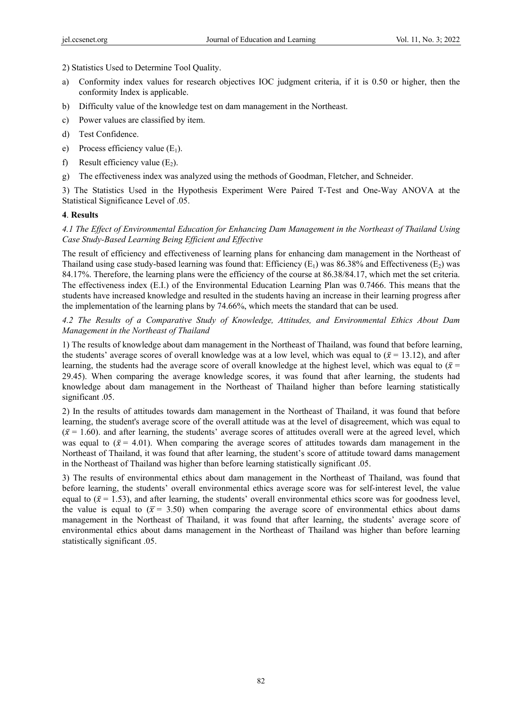2) Statistics Used to Determine Tool Quality.

- a) Conformity index values for research objectives IOC judgment criteria, if it is 0.50 or higher, then the conformity Index is applicable.
- b) Difficulty value of the knowledge test on dam management in the Northeast.
- c) Power values are classified by item.
- d) Test Confidence.
- e) Process efficiency value  $(E_1)$ .
- f) Result efficiency value  $(E_2)$ .
- g) The effectiveness index was analyzed using the methods of Goodman, Fletcher, and Schneider.

3) The Statistics Used in the Hypothesis Experiment Were Paired T-Test and One-Way ANOVA at the Statistical Significance Level of .05.

## **4**. **Results**

# *4.1 The Effect of Environmental Education for Enhancing Dam Management in the Northeast of Thailand Using Case Study-Based Learning Being Efficient and Effective*

The result of efficiency and effectiveness of learning plans for enhancing dam management in the Northeast of Thailand using case study-based learning was found that: Efficiency  $(E_1)$  was 86.38% and Effectiveness  $(E_2)$  was 84.17%. Therefore, the learning plans were the efficiency of the course at 86.38/84.17, which met the set criteria. The effectiveness index (E.I.) of the Environmental Education Learning Plan was 0.7466. This means that the students have increased knowledge and resulted in the students having an increase in their learning progress after the implementation of the learning plans by 74.66%, which meets the standard that can be used.

# *4.2 The Results of a Comparative Study of Knowledge, Attitudes, and Environmental Ethics About Dam Management in the Northeast of Thailand*

1) The results of knowledge about dam management in the Northeast of Thailand, was found that before learning, the students' average scores of overall knowledge was at a low level, which was equal to ( $\bar{x}$  = 13.12), and after learning, the students had the average score of overall knowledge at the highest level, which was equal to ( $\bar{x}$  = 29.45). When comparing the average knowledge scores, it was found that after learning, the students had knowledge about dam management in the Northeast of Thailand higher than before learning statistically significant .05.

2) In the results of attitudes towards dam management in the Northeast of Thailand, it was found that before learning, the student's average score of the overall attitude was at the level of disagreement, which was equal to  $({\bar x} = 1.60)$ , and after learning, the students' average scores of attitudes overall were at the agreed level, which was equal to  $({\bar x} = 4.01)$ . When comparing the average scores of attitudes towards dam management in the Northeast of Thailand, it was found that after learning, the student's score of attitude toward dams management in the Northeast of Thailand was higher than before learning statistically significant .05.

3) The results of environmental ethics about dam management in the Northeast of Thailand, was found that before learning, the students' overall environmental ethics average score was for self-interest level, the value equal to ( $\bar{x}$  = 1.53), and after learning, the students' overall environmental ethics score was for goodness level, the value is equal to ( $\bar{x}$  = 3.50) when comparing the average score of environmental ethics about dams management in the Northeast of Thailand, it was found that after learning, the students' average score of environmental ethics about dams management in the Northeast of Thailand was higher than before learning statistically significant .05.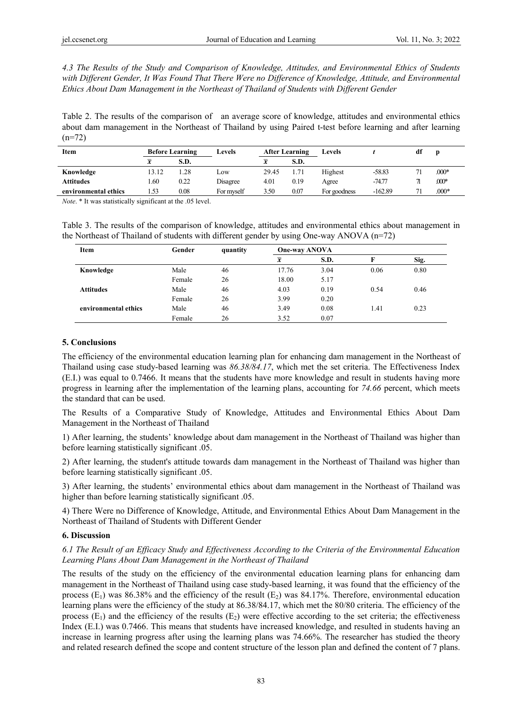*4.3 The Results of the Study and Comparison of Knowledge, Attitudes, and Environmental Ethics of Students with Different Gender, It Was Found That There Were no Difference of Knowledge, Attitude, and Environmental Ethics About Dam Management in the Northeast of Thailand of Students with Different Gender* 

Table 2. The results of the comparison of an average score of knowledge, attitudes and environmental ethics about dam management in the Northeast of Thailand by using Paired t-test before learning and after learning  $(n=72)$ 

| Item                 | <b>Before Learning</b>  |      | Levels     | <b>After Learning</b> |      | Levels       |           | df |         |
|----------------------|-------------------------|------|------------|-----------------------|------|--------------|-----------|----|---------|
|                      | $\overline{\mathbf{v}}$ | S.D. |            | x                     | S.D. |              |           |    |         |
| Knowledge            | 13.12                   | .28  | LOW        | 29.45                 | l.71 | Highest      | $-58.83$  |    | $.000*$ |
| <b>Attitudes</b>     | . 60                    | 0.22 | Disagree   | 4.01                  | 0.19 | Agree        | $-74.77$  |    | $.000*$ |
| environmental ethics | 1.53                    | 0.08 | For mvself | 3.50                  | 0.07 | For goodness | $-162.89$ |    | $.000*$ |

*Note*. \* It was statistically significant at the .05 level.

Table 3. The results of the comparison of knowledge, attitudes and environmental ethics about management in the Northeast of Thailand of students with different gender by using One-way ANOVA (n=72)

| Item                 | Gender | quantity | <b>One-way ANOVA</b> |      |      |      |
|----------------------|--------|----------|----------------------|------|------|------|
|                      |        |          | $\overline{\bm{x}}$  | S.D. |      | Sig. |
| Knowledge            | Male   | 46       | 17.76                | 3.04 | 0.06 | 0.80 |
|                      | Female | 26       | 18.00                | 5.17 |      |      |
| <b>Attitudes</b>     | Male   | 46       | 4.03                 | 0.19 | 0.54 | 0.46 |
|                      | Female | 26       | 3.99                 | 0.20 |      |      |
| environmental ethics | Male   | 46       | 3.49                 | 0.08 | 1.41 | 0.23 |
|                      | Female | 26       | 3.52                 | 0.07 |      |      |

#### **5. Conclusions**

The efficiency of the environmental education learning plan for enhancing dam management in the Northeast of Thailand using case study-based learning was *86.38/84.17*, which met the set criteria. The Effectiveness Index (E.I.) was equal to 0.7466. It means that the students have more knowledge and result in students having more progress in learning after the implementation of the learning plans, accounting for *74.66* percent, which meets the standard that can be used.

The Results of a Comparative Study of Knowledge, Attitudes and Environmental Ethics About Dam Management in the Northeast of Thailand

1) After learning, the students' knowledge about dam management in the Northeast of Thailand was higher than before learning statistically significant .05.

2) After learning, the student's attitude towards dam management in the Northeast of Thailand was higher than before learning statistically significant .05.

3) After learning, the students' environmental ethics about dam management in the Northeast of Thailand was higher than before learning statistically significant .05.

4) There Were no Difference of Knowledge, Attitude, and Environmental Ethics About Dam Management in the Northeast of Thailand of Students with Different Gender

## **6. Discussion**

# *6.1 The Result of an Efficacy Study and Effectiveness According to the Criteria of the Environmental Education Learning Plans About Dam Management in the Northeast of Thailand*

The results of the study on the efficiency of the environmental education learning plans for enhancing dam management in the Northeast of Thailand using case study-based learning, it was found that the efficiency of the process  $(E_1)$  was 86.38% and the efficiency of the result  $(E_2)$  was 84.17%. Therefore, environmental education learning plans were the efficiency of the study at 86.38/84.17, which met the 80/80 criteria. The efficiency of the process  $(E_1)$  and the efficiency of the results  $(E_2)$  were effective according to the set criteria; the effectiveness Index (E.I.) was 0.7466. This means that students have increased knowledge, and resulted in students having an increase in learning progress after using the learning plans was 74.66%. The researcher has studied the theory and related research defined the scope and content structure of the lesson plan and defined the content of 7 plans.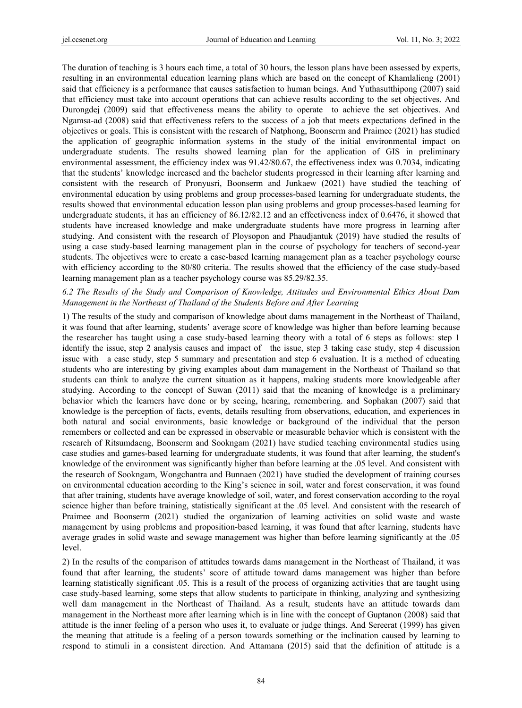The duration of teaching is 3 hours each time, a total of 30 hours, the lesson plans have been assessed by experts, resulting in an environmental education learning plans which are based on the concept of Khamlalieng (2001) said that efficiency is a performance that causes satisfaction to human beings. And Yuthasutthipong (2007) said that efficiency must take into account operations that can achieve results according to the set objectives. And Durongdej (2009) said that effectiveness means the ability to operate to achieve the set objectives. And Ngamsa-ad (2008) said that effectiveness refers to the success of a job that meets expectations defined in the objectives or goals. This is consistent with the research of Natphong, Boonserm and Praimee (2021) has studied the application of geographic information systems in the study of the initial environmental impact on undergraduate students. The results showed learning plan for the application of GIS in preliminary environmental assessment, the efficiency index was 91.42/80.67, the effectiveness index was 0.7034, indicating that the students' knowledge increased and the bachelor students progressed in their learning after learning and consistent with the research of Pronyusri, Boonserm and Junkaew (2021) have studied the teaching of environmental education by using problems and group processes-based learning for undergraduate students, the results showed that environmental education lesson plan using problems and group processes-based learning for undergraduate students, it has an efficiency of 86.12/82.12 and an effectiveness index of 0.6476, it showed that students have increased knowledge and make undergraduate students have more progress in learning after studying. And consistent with the research of Ploysopon and Phaudjantuk (2019) have studied the results of using a case study-based learning management plan in the course of psychology for teachers of second-year students. The objectives were to create a case-based learning management plan as a teacher psychology course with efficiency according to the 80/80 criteria. The results showed that the efficiency of the case study-based learning management plan as a teacher psychology course was 85.29/82.35.

## *6.2 The Results of the Study and Comparison of Knowledge, Attitudes and Environmental Ethics About Dam Management in the Northeast of Thailand of the Students Before and After Learning*

1) The results of the study and comparison of knowledge about dams management in the Northeast of Thailand, it was found that after learning, students' average score of knowledge was higher than before learning because the researcher has taught using a case study-based learning theory with a total of 6 steps as follows: step 1 identify the issue, step 2 analysis causes and impact of the issue, step 3 taking case study, step 4 discussion issue with a case study, step 5 summary and presentation and step 6 evaluation. It is a method of educating students who are interesting by giving examples about dam management in the Northeast of Thailand so that students can think to analyze the current situation as it happens, making students more knowledgeable after studying. According to the concept of Suwan (2011) said that the meaning of knowledge is a preliminary behavior which the learners have done or by seeing, hearing, remembering. and Sophakan (2007) said that knowledge is the perception of facts, events, details resulting from observations, education, and experiences in both natural and social environments, basic knowledge or background of the individual that the person remembers or collected and can be expressed in observable or measurable behavior which is consistent with the research of Ritsumdaeng, Boonserm and Sookngam (2021) have studied teaching environmental studies using case studies and games-based learning for undergraduate students, it was found that after learning, the student's knowledge of the environment was significantly higher than before learning at the .05 level. And consistent with the research of Sookngam, Wongchantra and Bunnaen (2021) have studied the development of training courses on environmental education according to the King's science in soil, water and forest conservation, it was found that after training, students have average knowledge of soil, water, and forest conservation according to the royal science higher than before training, statistically significant at the .05 level*.* And consistent with the research of Praimee and Boonserm (2021) studied the organization of learning activities on solid waste and waste management by using problems and proposition-based learning, it was found that after learning, students have average grades in solid waste and sewage management was higher than before learning significantly at the .05 level.

2) In the results of the comparison of attitudes towards dams management in the Northeast of Thailand, it was found that after learning, the students' score of attitude toward dams management was higher than before learning statistically significant .05. This is a result of the process of organizing activities that are taught using case study-based learning, some steps that allow students to participate in thinking, analyzing and synthesizing well dam management in the Northeast of Thailand. As a result, students have an attitude towards dam management in the Northeast more after learning which is in line with the concept of Guptanon (2008) said that attitude is the inner feeling of a person who uses it, to evaluate or judge things. And Sereerat (1999) has given the meaning that attitude is a feeling of a person towards something or the inclination caused by learning to respond to stimuli in a consistent direction. And Attamana (2015) said that the definition of attitude is a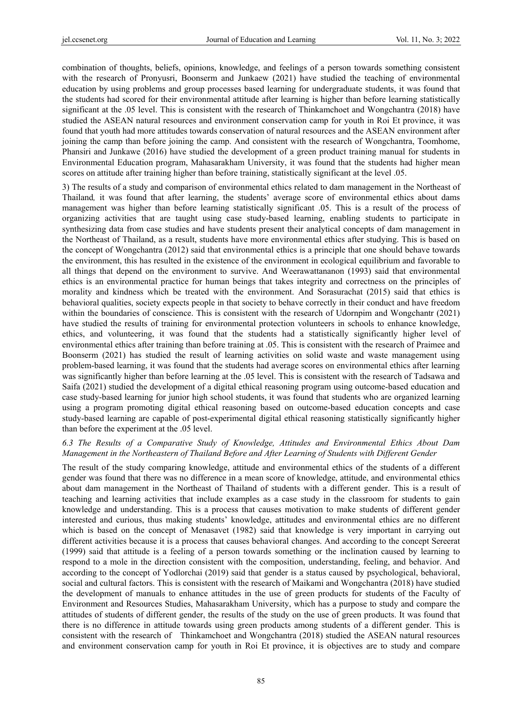combination of thoughts, beliefs, opinions, knowledge, and feelings of a person towards something consistent with the research of Pronyusri, Boonserm and Junkaew (2021) have studied the teaching of environmental education by using problems and group processes based learning for undergraduate students, it was found that the students had scored for their environmental attitude after learning is higher than before learning statistically significant at the .05 level. This is consistent with the research of Thinkamchoet and Wongchantra (2018) have studied the ASEAN natural resources and environment conservation camp for youth in Roi Et province, it was found that youth had more attitudes towards conservation of natural resources and the ASEAN environment after joining the camp than before joining the camp. And consistent with the research of Wongchantra, Toomhome, Phansiri and Junkawe (2016) have studied the development of a green product training manual for students in Environmental Education program, Mahasarakham University, it was found that the students had higher mean scores on attitude after training higher than before training, statistically significant at the level .05.

3) The results of a study and comparison of environmental ethics related to dam management in the Northeast of Thailand*,* it was found that after learning, the students' average score of environmental ethics about dams management was higher than before learning statistically significant .05. This is a result of the process of organizing activities that are taught using case study-based learning, enabling students to participate in synthesizing data from case studies and have students present their analytical concepts of dam management in the Northeast of Thailand, as a result, students have more environmental ethics after studying. This is based on the concept of Wongchantra (2012) said that environmental ethics is a principle that one should behave towards the environment, this has resulted in the existence of the environment in ecological equilibrium and favorable to all things that depend on the environment to survive. And Weerawattananon (1993) said that environmental ethics is an environmental practice for human beings that takes integrity and correctness on the principles of morality and kindness which be treated with the environment. And Sorasurachat (2015) said that ethics is behavioral qualities, society expects people in that society to behave correctly in their conduct and have freedom within the boundaries of conscience. This is consistent with the research of Udornpim and Wongchantr (2021) have studied the results of training for environmental protection volunteers in schools to enhance knowledge, ethics, and volunteering, it was found that the students had a statistically significantly higher level of environmental ethics after training than before training at .05. This is consistent with the research of Praimee and Boonserm (2021) has studied the result of learning activities on solid waste and waste management using problem-based learning, it was found that the students had average scores on environmental ethics after learning was significantly higher than before learning at the .05 level. This is consistent with the research of Tadsawa and Saifa (2021) studied the development of a digital ethical reasoning program using outcome-based education and case study-based learning for junior high school students, it was found that students who are organized learning using a program promoting digital ethical reasoning based on outcome-based education concepts and case study-based learning are capable of post-experimental digital ethical reasoning statistically significantly higher than before the experiment at the .05 level.

## *6.3 The Results of a Comparative Study of Knowledge, Attitudes and Environmental Ethics About Dam Management in the Northeastern of Thailand Before and After Learning of Students with Different Gender*

The result of the study comparing knowledge, attitude and environmental ethics of the students of a different gender was found that there was no difference in a mean score of knowledge, attitude, and environmental ethics about dam management in the Northeast of Thailand of students with a different gender. This is a result of teaching and learning activities that include examples as a case study in the classroom for students to gain knowledge and understanding. This is a process that causes motivation to make students of different gender interested and curious, thus making students' knowledge, attitudes and environmental ethics are no different which is based on the concept of Menasavet (1982) said that knowledge is very important in carrying out different activities because it is a process that causes behavioral changes. And according to the concept Sereerat (1999) said that attitude is a feeling of a person towards something or the inclination caused by learning to respond to a mole in the direction consistent with the composition, understanding, feeling, and behavior. And according to the concept of Yodlorchai (2019) said that gender is a status caused by psychological, behavioral, social and cultural factors. This is consistent with the research of Maikami and Wongchantra (2018) have studied the development of manuals to enhance attitudes in the use of green products for students of the Faculty of Environment and Resources Studies, Mahasarakham University, which has a purpose to study and compare the attitudes of students of different gender, the results of the study on the use of green products. It was found that there is no difference in attitude towards using green products among students of a different gender. This is consistent with the research of Thinkamchoet and Wongchantra (2018) studied the ASEAN natural resources and environment conservation camp for youth in Roi Et province, it is objectives are to study and compare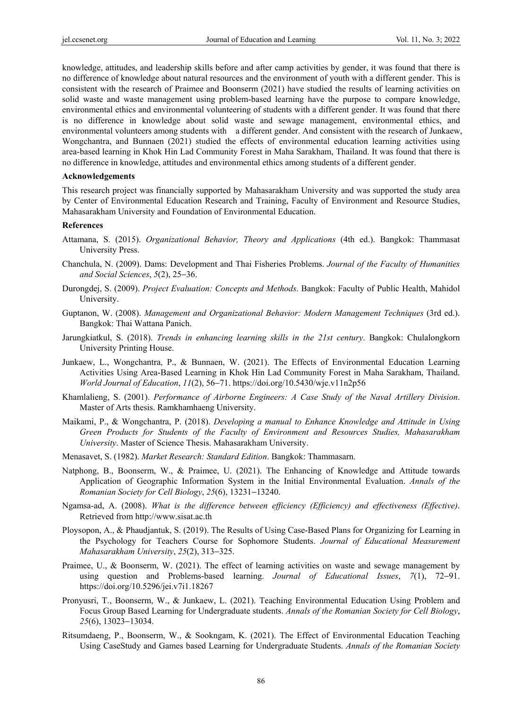knowledge, attitudes, and leadership skills before and after camp activities by gender, it was found that there is no difference of knowledge about natural resources and the environment of youth with a different gender. This is consistent with the research of Praimee and Boonserm (2021) have studied the results of learning activities on solid waste and waste management using problem-based learning have the purpose to compare knowledge, environmental ethics and environmental volunteering of students with a different gender. It was found that there is no difference in knowledge about solid waste and sewage management, environmental ethics, and environmental volunteers among students with a different gender. And consistent with the research of Junkaew, Wongchantra, and Bunnaen (2021) studied the effects of environmental education learning activities using area-based learning in Khok Hin Lad Community Forest in Maha Sarakham, Thailand. It was found that there is no difference in knowledge, attitudes and environmental ethics among students of a different gender.

#### **Acknowledgements**

This research project was financially supported by Mahasarakham University and was supported the study area by Center of Environmental Education Research and Training, Faculty of Environment and Resource Studies, Mahasarakham University and Foundation of Environmental Education.

#### **References**

- Attamana, S. (2015). *Organizational Behavior, Theory and Applications* (4th ed.). Bangkok: Thammasat University Press.
- Chanchula, N. (2009). Dams: Development and Thai Fisheries Problems. *Journal of the Faculty of Humanities and Social Sciences*, *5*(2), 25−36.
- Durongdej, S. (2009). *Project Evaluation: Concepts and Methods*. Bangkok: Faculty of Public Health, Mahidol University.
- Guptanon, W. (2008). *Management and Organizational Behavior: Modern Management Techniques* (3rd ed.). Bangkok: Thai Wattana Panich.
- Jarungkiatkul, S. (2018). *Trends in enhancing learning skills in the 21st century*. Bangkok: Chulalongkorn University Printing House.
- Junkaew, L., Wongchantra, P., & Bunnaen, W. (2021). The Effects of Environmental Education Learning Activities Using Area-Based Learning in Khok Hin Lad Community Forest in Maha Sarakham, Thailand. *World Journal of Education*, *11*(2), 56−71. https://doi.org/10.5430/wje.v11n2p56
- Khamlalieng, S. (2001). *Performance of Airborne Engineers: A Case Study of the Naval Artillery Division*. Master of Arts thesis. Ramkhamhaeng University.
- Maikami, P., & Wongchantra, P. (2018). *Developing a manual to Enhance Knowledge and Attitude in Using Green Products for Students of the Faculty of Environment and Resources Studies, Mahasarakham University*. Master of Science Thesis. Mahasarakham University.
- Menasavet, S. (1982). *Market Research: Standard Edition*. Bangkok: Thammasarn.
- Natphong, B., Boonserm, W., & Praimee, U. (2021). The Enhancing of Knowledge and Attitude towards Application of Geographic Information System in the Initial Environmental Evaluation. *Annals of the Romanian Society for Cell Biology*, *25*(6), 13231−13240.
- Ngamsa-ad, A. (2008). *What is the difference between efficiency (Efficiency) and effectiveness (Effective)*. Retrieved from http://www.sisat.ac.th
- Ploysopon, A., & Phaudjantuk, S. (2019). The Results of Using Case-Based Plans for Organizing for Learning in the Psychology for Teachers Course for Sophomore Students. *Journal of Educational Measurement Mahasarakham University*, *25*(2), 313−325.
- Praimee, U., & Boonserm, W. (2021). The effect of learning activities on waste and sewage management by using question and Problems-based learning. *Journal of Educational Issues*, *7*(1), 72−91. https://doi.org/10.5296/jei.v7i1.18267
- Pronyusri, T., Boonserm, W., & Junkaew, L. (2021). Teaching Environmental Education Using Problem and Focus Group Based Learning for Undergraduate students. *Annals of the Romanian Society for Cell Biology*, *25*(6), 13023−13034.
- Ritsumdaeng, P., Boonserm, W., & Sookngam, K. (2021). The Effect of Environmental Education Teaching Using CaseStudy and Games based Learning for Undergraduate Students. *Annals of the Romanian Society*